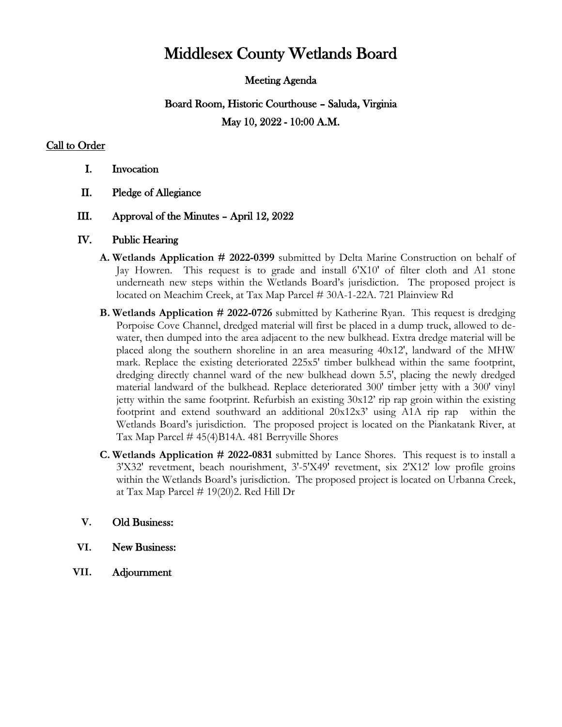# Middlesex County Wetlands Board

### Meeting Agenda

# Board Room, Historic Courthouse – Saluda, Virginia May 10, 2022 - 10:00 A.M.

## Call to Order

- I. Invocation
- II. Pledge of Allegiance

#### III. Approval of the Minutes – April 12, 2022

#### IV. Public Hearing

- **A. Wetlands Application # 2022-0399** submitted by Delta Marine Construction on behalf of Jay Howren. This request is to grade and install 6'X10' of filter cloth and A1 stone underneath new steps within the Wetlands Board's jurisdiction. The proposed project is located on Meachim Creek, at Tax Map Parcel # 30A-1-22A. 721 Plainview Rd
- **B. Wetlands Application # 2022-0726** submitted by Katherine Ryan. This request is dredging Porpoise Cove Channel, dredged material will first be placed in a dump truck, allowed to dewater, then dumped into the area adjacent to the new bulkhead. Extra dredge material will be placed along the southern shoreline in an area measuring 40x12', landward of the MHW mark. Replace the existing deteriorated 225x5' timber bulkhead within the same footprint, dredging directly channel ward of the new bulkhead down 5.5', placing the newly dredged material landward of the bulkhead. Replace deteriorated 300' timber jetty with a 300' vinyl jetty within the same footprint. Refurbish an existing  $30x12$  rip rap groin within the existing footprint and extend southward an additional 20x12x3' using A1A rip rap within the Wetlands Board's jurisdiction. The proposed project is located on the Piankatank River, at Tax Map Parcel # 45(4)B14A. 481 Berryville Shores
- **C. Wetlands Application # 2022-0831** submitted by Lance Shores. This request is to install a 3'X32' revetment, beach nourishment, 3'-5'X49' revetment, six 2'X12' low profile groins within the Wetlands Board's jurisdiction. The proposed project is located on Urbanna Creek, at Tax Map Parcel  $# 19(20)$ 2. Red Hill Dr

#### **V.** Old Business:

- **VI.** New Business:
- **VII.** Adjournment